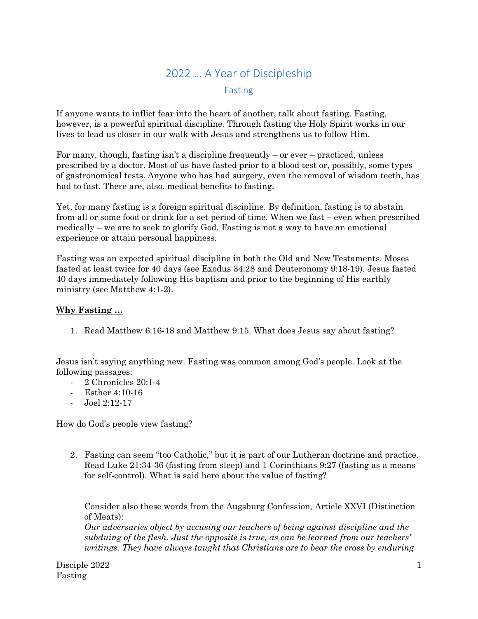## 2022 … A Year of Discipleship Fasting

If anyone wants to inflict fear into the heart of another, talk about fasting. Fasting, however, is a powerful spiritual discipline. Through fasting the Holy Spirit works in our lives to lead us closer in our walk with Jesus and strengthens us to follow Him.

For many, though, fasting isn't a discipline frequently – or ever – practiced, unless prescribed by a doctor. Most of us have fasted prior to a blood test or, possibly, some types of gastronomical tests. Anyone who has had surgery, even the removal of wisdom teeth, has had to fast. There are, also, medical benefits to fasting.

Yet, for many fasting is a foreign spiritual discipline. By definition, fasting is to abstain from all or some food or drink for a set period of time. When we fast – even when prescribed medically – we are to seek to glorify God. Fasting is not a way to have an emotional experience or attain personal happiness.

Fasting was an expected spiritual discipline in both the Old and New Testaments. Moses fasted at least twice for 40 days (see Exodus 34:28 and Deuteronomy 9:18-19). Jesus fasted 40 days immediately following His baptism and prior to the beginning of His earthly ministry (see Matthew 4:1-2).

## **Why Fasting …**

1. Read Matthew 6:16-18 and Matthew 9:15. What does Jesus say about fasting?

Jesus isn't saying anything new. Fasting was common among God's people. Look at the following passages:

- 2 Chronicles 20:1-4
- Esther 4:10-16
- Joel 2:12-17

How do God's people view fasting?

2. Fasting can seem "too Catholic," but it is part of our Lutheran doctrine and practice. Read Luke 21:34-36 (fasting from sleep) and 1 Corinthians 9:27 (fasting as a means for self-control). What is said here about the value of fasting?

Consider also these words from the Augsburg Confession, Article XXVI (Distinction of Meats):

*Our adversaries object by accusing our teachers of being against discipline and the subduing of the flesh. Just the opposite is true, as can be learned from our teachers' writings. They have always taught that Christians are to bear the cross by enduring*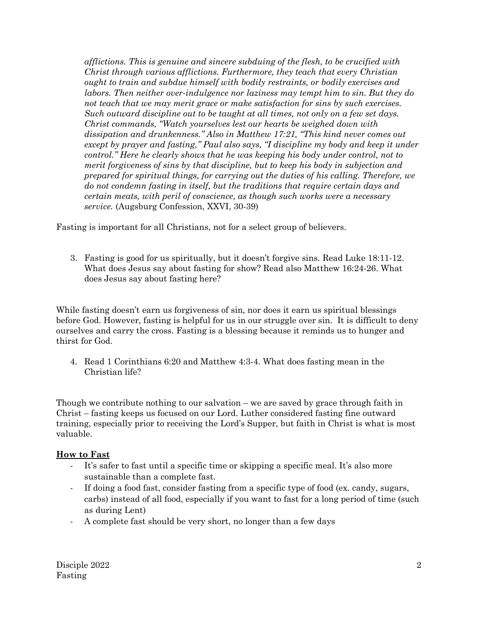*afflictions. This is genuine and sincere subduing of the flesh, to be crucified with Christ through various afflictions. Furthermore, they teach that every Christian ought to train and subdue himself with bodily restraints, or bodily exercises and labors. Then neither over-indulgence nor laziness may tempt him to sin. But they do not teach that we may merit grace or make satisfaction for sins by such exercises. Such outward discipline out to be taught at all times, not only on a few set days. Christ commands, "Watch yourselves lest our hearts be weighed down with dissipation and drunkenness." Also in Matthew 17:21, "This kind never comes out except by prayer and fasting," Paul also says, "I discipline my body and keep it under control." Here he clearly shows that he was keeping his body under control, not to merit forgiveness of sins by that discipline, but to keep his body in subjection and prepared for spiritual things, for carrying out the duties of his calling. Therefore, we do not condemn fasting in itself, but the traditions that require certain days and certain meats, with peril of conscience, as though such works were a necessary service.* (Augsburg Confession, XXVI, 30-39)

Fasting is important for all Christians, not for a select group of believers.

3. Fasting is good for us spiritually, but it doesn't forgive sins. Read Luke 18:11-12. What does Jesus say about fasting for show? Read also Matthew 16:24-26. What does Jesus say about fasting here?

While fasting doesn't earn us forgiveness of sin, nor does it earn us spiritual blessings before God. However, fasting is helpful for us in our struggle over sin. It is difficult to deny ourselves and carry the cross. Fasting is a blessing because it reminds us to hunger and thirst for God.

4. Read 1 Corinthians 6:20 and Matthew 4:3-4. What does fasting mean in the Christian life?

Though we contribute nothing to our salvation – we are saved by grace through faith in Christ – fasting keeps us focused on our Lord. Luther considered fasting fine outward training, especially prior to receiving the Lord's Supper, but faith in Christ is what is most valuable.

## **How to Fast**

- It's safer to fast until a specific time or skipping a specific meal. It's also more sustainable than a complete fast.
- If doing a food fast, consider fasting from a specific type of food (ex. candy, sugars, carbs) instead of all food, especially if you want to fast for a long period of time (such as during Lent)
- A complete fast should be very short, no longer than a few days